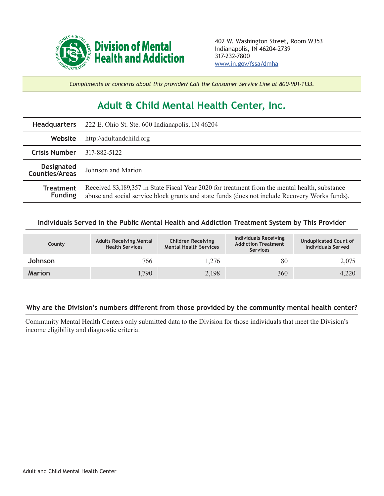

*Compliments or concerns about this provider? Call the Consumer Service Line at 800-901-1133.*

## **Adult & Child Mental Health Center, Inc.**

| <b>Headquarters</b>                 | 222 E. Ohio St. Ste. 600 Indianapolis, IN 46204                                                                                                                                                  |  |  |  |
|-------------------------------------|--------------------------------------------------------------------------------------------------------------------------------------------------------------------------------------------------|--|--|--|
| Website                             | http://adultandchild.org                                                                                                                                                                         |  |  |  |
| <b>Crisis Number</b>                | 317-882-5122                                                                                                                                                                                     |  |  |  |
| <b>Designated</b><br>Counties/Areas | Johnson and Marion                                                                                                                                                                               |  |  |  |
| <b>Treatment</b><br><b>Funding</b>  | Received \$3,189,357 in State Fiscal Year 2020 for treatment from the mental health, substance<br>abuse and social service block grants and state funds (does not include Recovery Works funds). |  |  |  |

## **Individuals Served in the Public Mental Health and Addiction Treatment System by This Provider**

| County        | <b>Adults Receiving Mental</b><br><b>Health Services</b> | <b>Children Receiving</b><br><b>Mental Health Services</b> | <b>Individuals Receiving</b><br><b>Addiction Treatment</b><br><b>Services</b> | <b>Unduplicated Count of</b><br><b>Individuals Served</b> |
|---------------|----------------------------------------------------------|------------------------------------------------------------|-------------------------------------------------------------------------------|-----------------------------------------------------------|
| Johnson       | 766                                                      | 1,276                                                      | 80                                                                            | 2,075                                                     |
| <b>Marion</b> | 1,790                                                    | 2,198                                                      | 360                                                                           | 4,220                                                     |

## **Why are the Division's numbers different from those provided by the community mental health center?**

Community Mental Health Centers only submitted data to the Division for those individuals that meet the Division's income eligibility and diagnostic criteria.